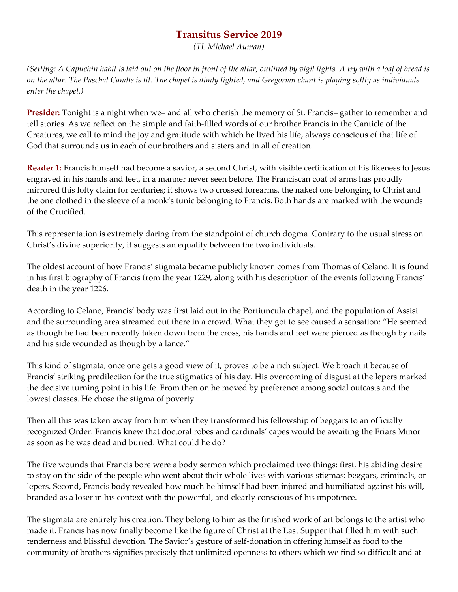# **Transitus Service 2019**

*(TL Michael Auman)*

*(Setting: A Capuchin habit is laid out on the floor in front of the altar, outlined by vigil lights. A try with a loaf of bread is on the altar. The Paschal Candle is lit. The chapel is dimly lighted, and Gregorian chant is playing softly as individuals enter the chapel.)*

**Presider:** Tonight is a night when we– and all who cherish the memory of St. Francis– gather to remember and tell stories. As we reflect on the simple and faith-filled words of our brother Francis in the Canticle of the Creatures, we call to mind the joy and gratitude with which he lived his life, always conscious of that life of God that surrounds us in each of our brothers and sisters and in all of creation.

**Reader 1:** Francis himself had become a savior, a second Christ, with visible certification of his likeness to Jesus engraved in his hands and feet, in a manner never seen before. The Franciscan coat of arms has proudly mirrored this lofty claim for centuries; it shows two crossed forearms, the naked one belonging to Christ and the one clothed in the sleeve of a monk's tunic belonging to Francis. Both hands are marked with the wounds of the Crucified.

This representation is extremely daring from the standpoint of church dogma. Contrary to the usual stress on Christ's divine superiority, it suggests an equality between the two individuals.

The oldest account of how Francis' stigmata became publicly known comes from Thomas of Celano. It is found in his first biography of Francis from the year 1229, along with his description of the events following Francis' death in the year 1226.

According to Celano, Francis' body was first laid out in the Portiuncula chapel, and the population of Assisi and the surrounding area streamed out there in a crowd. What they got to see caused a sensation: "He seemed as though he had been recently taken down from the cross, his hands and feet were pierced as though by nails and his side wounded as though by a lance."

This kind of stigmata, once one gets a good view of it, proves to be a rich subject. We broach it because of Francis' striking predilection for the true stigmatics of his day. His overcoming of disgust at the lepers marked the decisive turning point in his life. From then on he moved by preference among social outcasts and the lowest classes. He chose the stigma of poverty.

Then all this was taken away from him when they transformed his fellowship of beggars to an officially recognized Order. Francis knew that doctoral robes and cardinals' capes would be awaiting the Friars Minor as soon as he was dead and buried. What could he do?

The five wounds that Francis bore were a body sermon which proclaimed two things: first, his abiding desire to stay on the side of the people who went about their whole lives with various stigmas: beggars, criminals, or lepers. Second, Francis body revealed how much he himself had been injured and humiliated against his will, branded as a loser in his context with the powerful, and clearly conscious of his impotence.

The stigmata are entirely his creation. They belong to him as the finished work of art belongs to the artist who made it. Francis has now finally become like the figure of Christ at the Last Supper that filled him with such tenderness and blissful devotion. The Savior's gesture of self-donation in offering himself as food to the community of brothers signifies precisely that unlimited openness to others which we find so difficult and at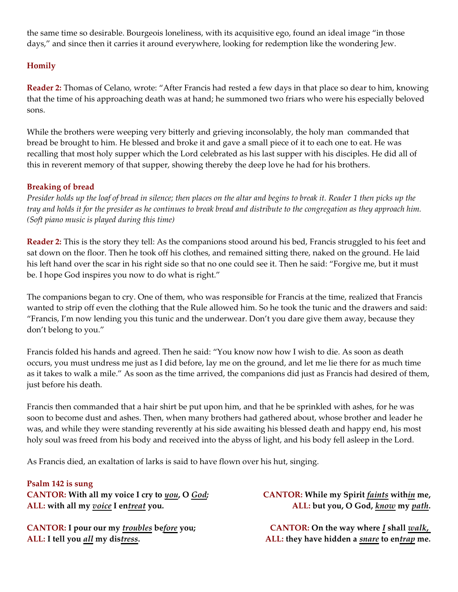the same time so desirable. Bourgeois loneliness, with its acquisitive ego, found an ideal image "in those days," and since then it carries it around everywhere, looking for redemption like the wondering Jew.

## **Homily**

**Reader 2:** Thomas of Celano, wrote: "After Francis had rested a few days in that place so dear to him, knowing that the time of his approaching death was at hand; he summoned two friars who were his especially beloved sons.

While the brothers were weeping very bitterly and grieving inconsolably, the holy man commanded that bread be brought to him. He blessed and broke it and gave a small piece of it to each one to eat. He was recalling that most holy supper which the Lord celebrated as his last supper with his disciples. He did all of this in reverent memory of that supper, showing thereby the deep love he had for his brothers.

#### **Breaking of bread**

*Presider holds up the loaf of bread in silence; then places on the altar and begins to break it. Reader 1 then picks up the tray and holds it for the presider as he continues to break bread and distribute to the congregation as they approach him. (Soft piano music is played during this time)*

**Reader 2:** This is the story they tell: As the companions stood around his bed, Francis struggled to his feet and sat down on the floor. Then he took off his clothes, and remained sitting there, naked on the ground. He laid his left hand over the scar in his right side so that no one could see it. Then he said: "Forgive me, but it must be. I hope God inspires you now to do what is right."

The companions began to cry. One of them, who was responsible for Francis at the time, realized that Francis wanted to strip off even the clothing that the Rule allowed him. So he took the tunic and the drawers and said: "Francis, I'm now lending you this tunic and the underwear. Don't you dare give them away, because they don't belong to you."

Francis folded his hands and agreed. Then he said: "You know now how I wish to die. As soon as death occurs, you must undress me just as I did before, lay me on the ground, and let me lie there for as much time as it takes to walk a mile." As soon as the time arrived, the companions did just as Francis had desired of them, just before his death.

Francis then commanded that a hair shirt be put upon him, and that he be sprinkled with ashes, for he was soon to become dust and ashes. Then, when many brothers had gathered about, whose brother and leader he was, and while they were standing reverently at his side awaiting his blessed death and happy end, his most holy soul was freed from his body and received into the abyss of light, and his body fell asleep in the Lord.

As Francis died, an exaltation of larks is said to have flown over his hut, singing.

#### **Psalm 142 is sung**

**CANTOR: With all my voice I cry to** *you***, O** *God;* **ALL: with all my** *voice* **I en***treat* **you.**

**CANTOR: I pour our my** *troubles* **be***fore* **you; ALL: I tell you** *all* **my dis***tress***.**

**CANTOR: While my Spirit** *faints* **with***in* **me, ALL: but you, O God,** *know* **my** *path***.**

**CANTOR: On the way where** *I* **shall** *walk***, ALL: they have hidden a** *snare* **to en***trap* **me.**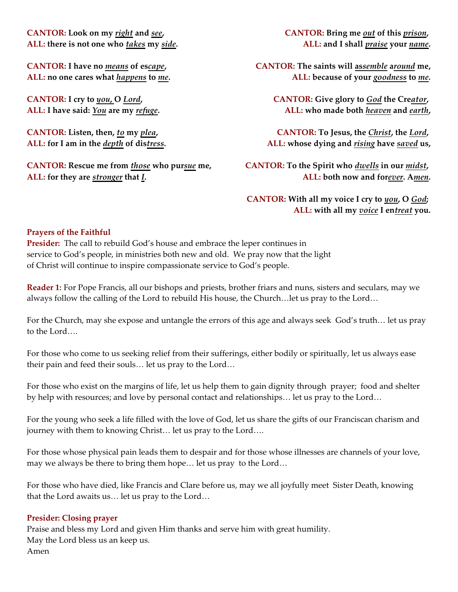**CANTOR: Look on my** *right* **and** *see***, ALL: there is not one who** *takes* **my** *side***.**

**CANTOR: I have no** *means* **of es***cape***, ALL: no one cares what** *happens* **to** *me***.**

**CANTOR: I cry to** *you***, O** *Lord***, ALL: I have said:** *You* **are my** *refuge***.**

**CANTOR: Listen, then,** *to* **my** *plea***, ALL: for I am in the** *depth* **of dis***tress***.**

**CANTOR: Rescue me from** *those* **who pur***sue* **me, ALL: for they are** *stronger* **that** *I***.**

**CANTOR: Bring me** *out* **of this** *prison***, ALL: and I shall** *praise* **your** *name***.**

**CANTOR: The saints will as***semble* **a***round* **me, ALL: because of your** *goodness* **to** *me.*

> **CANTOR: Give glory to** *God* **the Cre***ator***, ALL: who made both** *heaven* **and** *earth***,**

**CANTOR: To Jesus, the** *Christ***, the** *Lord***, ALL: whose dying and** *rising* **have** *saved* **us,**

**CANTOR: To the Spirit who** *dwells* **in our** *midst***, ALL: both now and for***ever***. A***men***.**

**CANTOR: With all my voice I cry to** *you***, O** *God***; ALL: with all my** *voice* **I en***treat* **you.**

#### **Prayers of the Faithful**

**Presider:** The call to rebuild God's house and embrace the leper continues in service to God's people, in ministries both new and old. We pray now that the light of Christ will continue to inspire compassionate service to God's people.

**Reader 1:** For Pope Francis, all our bishops and priests, brother friars and nuns, sisters and seculars, may we always follow the calling of the Lord to rebuild His house, the Church…let us pray to the Lord…

For the Church, may she expose and untangle the errors of this age and always seek God's truth… let us pray to the Lord….

For those who come to us seeking relief from their sufferings, either bodily or spiritually, let us always ease their pain and feed their souls… let us pray to the Lord…

For those who exist on the margins of life, let us help them to gain dignity through prayer; food and shelter by help with resources; and love by personal contact and relationships… let us pray to the Lord…

For the young who seek a life filled with the love of God, let us share the gifts of our Franciscan charism and journey with them to knowing Christ… let us pray to the Lord….

For those whose physical pain leads them to despair and for those whose illnesses are channels of your love, may we always be there to bring them hope… let us pray to the Lord…

For those who have died, like Francis and Clare before us, may we all joyfully meet Sister Death, knowing that the Lord awaits us… let us pray to the Lord…

#### **Presider: Closing prayer**

Praise and bless my Lord and given Him thanks and serve him with great humility. May the Lord bless us an keep us. Amen